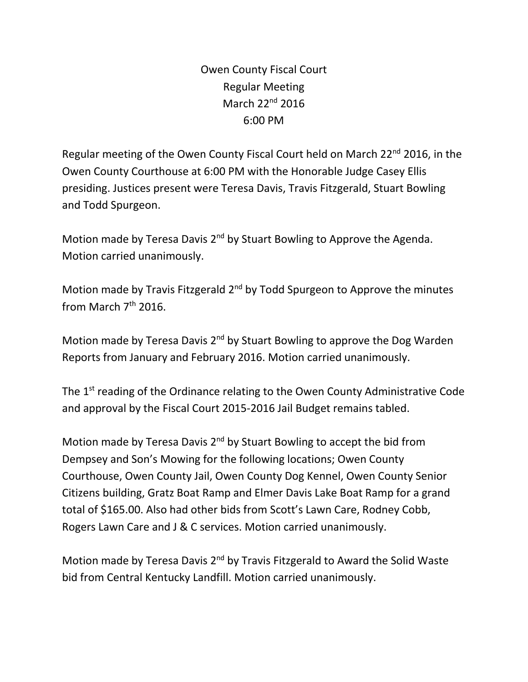Owen County Fiscal Court Regular Meeting March 22<sup>nd</sup> 2016 6:00 PM

Regular meeting of the Owen County Fiscal Court held on March 22<sup>nd</sup> 2016, in the Owen County Courthouse at 6:00 PM with the Honorable Judge Casey Ellis presiding. Justices present were Teresa Davis, Travis Fitzgerald, Stuart Bowling and Todd Spurgeon.

Motion made by Teresa Davis 2<sup>nd</sup> by Stuart Bowling to Approve the Agenda. Motion carried unanimously.

Motion made by Travis Fitzgerald 2<sup>nd</sup> by Todd Spurgeon to Approve the minutes from March  $7<sup>th</sup>$  2016.

Motion made by Teresa Davis 2<sup>nd</sup> by Stuart Bowling to approve the Dog Warden Reports from January and February 2016. Motion carried unanimously.

The 1<sup>st</sup> reading of the Ordinance relating to the Owen County Administrative Code and approval by the Fiscal Court 2015-2016 Jail Budget remains tabled.

Motion made by Teresa Davis 2<sup>nd</sup> by Stuart Bowling to accept the bid from Dempsey and Son's Mowing for the following locations; Owen County Courthouse, Owen County Jail, Owen County Dog Kennel, Owen County Senior Citizens building, Gratz Boat Ramp and Elmer Davis Lake Boat Ramp for a grand total of \$165.00. Also had other bids from Scott's Lawn Care, Rodney Cobb, Rogers Lawn Care and J & C services. Motion carried unanimously.

Motion made by Teresa Davis 2<sup>nd</sup> by Travis Fitzgerald to Award the Solid Waste bid from Central Kentucky Landfill. Motion carried unanimously.